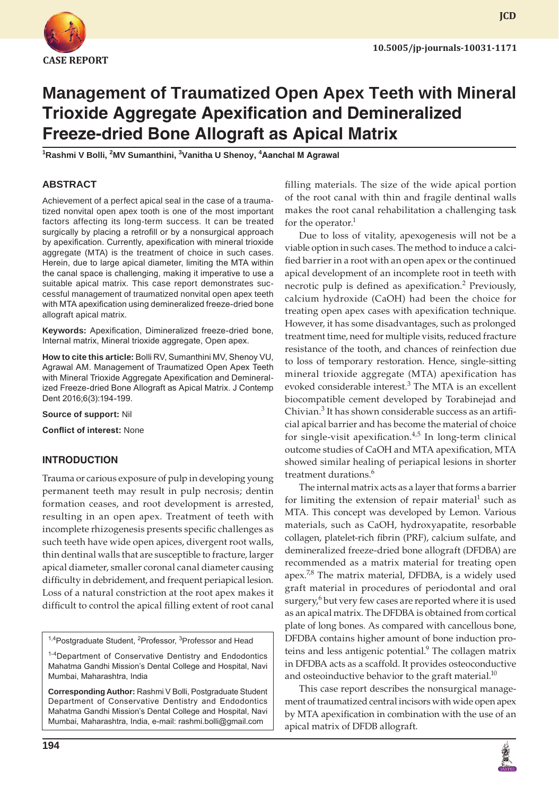

# **Management of Traumatized Open Apex Teeth with Mineral Trioxide Aggregate Apexification and Demineralized Freeze-dried Bone Allograft as Apical Matrix**

**1 Rashmi V Bolli, 2 MV Sumanthini, 3 Vanitha U Shenoy, 4 Aanchal M Agrawal**

# **ABSTRACT**

Achievement of a perfect apical seal in the case of a traumatized nonvital open apex tooth is one of the most important factors affecting its long-term success. It can be treated surgically by placing a retrofill or by a nonsurgical approach by apexification. Currently, apexification with mineral trioxide aggregate (MTA) is the treatment of choice in such cases. Herein, due to large apical diameter, limiting the MTA within the canal space is challenging, making it imperative to use a suitable apical matrix. This case report demonstrates successful management of traumatized nonvital open apex teeth with MTA apexification using demineralized freeze-dried bone allograft apical matrix.

**Keywords:** Apexification, Dimineralized freeze-dried bone, Internal matrix, Mineral trioxide aggregate, Open apex.

**How to cite this article:** Bolli RV, Sumanthini MV, Shenoy VU, Agrawal AM. Management of Traumatized Open Apex Teeth with Mineral Trioxide Aggregate Apexification and Demineralized Freeze-dried Bone Allograft as Apical Matrix. J Contemp Dent 2016;6(3):194-199.

**Source of support:** Nil

**Conflict of interest:** None

#### **INTRODUCTION**

Trauma or carious exposure of pulp in developing young permanent teeth may result in pulp necrosis; dentin formation ceases, and root development is arrested, resulting in an open apex. Treatment of teeth with incomplete rhizogenesis presents specific challenges as such teeth have wide open apices, divergent root walls, thin dentinal walls that are susceptible to fracture, larger apical diameter, smaller coronal canal diameter causing difficulty in debridement, and frequent periapical lesion. Loss of a natural constriction at the root apex makes it difficult to control the apical filling extent of root canal

<sup>1,4</sup>Postgraduate Student, <sup>2</sup>Professor, <sup>3</sup>Professor and Head

<sup>1-4</sup>Department of Conservative Dentistry and Endodontics Mahatma Gandhi Mission's Dental College and Hospital, Navi Mumbai, Maharashtra, India

**Corresponding Author:** Rashmi V Bolli, Postgraduate Student Department of Conservative Dentistry and Endodontics Mahatma Gandhi Mission's Dental College and Hospital, Navi Mumbai, Maharashtra, India, e-mail: rashmi.bolli@gmail.com

filling materials. The size of the wide apical portion of the root canal with thin and fragile dentinal walls makes the root canal rehabilitation a challenging task for the operator.<sup>1</sup>

Due to loss of vitality, apexogenesis will not be a viable option in such cases. The method to induce a calcified barrier in a root with an open apex or the continued apical development of an incomplete root in teeth with necrotic pulp is defined as apexification.<sup>2</sup> Previously, calcium hydroxide (CaOH) had been the choice for treating open apex cases with apexification technique. However, it has some disadvantages, such as prolonged treatment time, need for multiple visits, reduced fracture resistance of the tooth, and chances of reinfection due to loss of temporary restoration. Hence, single-sitting mineral trioxide aggregate (MTA) apexification has evoked considerable interest.<sup>3</sup> The MTA is an excellent biocompatible cement developed by Torabinejad and Chivian.<sup>3</sup> It has shown considerable success as an artificial apical barrier and has become the material of choice for single-visit apexification. $4,5$  In long-term clinical outcome studies of CaOH and MTA apexification, MTA showed similar healing of periapical lesions in shorter treatment durations.<sup>6</sup>

The internal matrix acts as a layer that forms a barrier for limiting the extension of repair material<sup>1</sup> such as MTA. This concept was developed by Lemon. Various materials, such as CaOH, hydroxyapatite, resorbable collagen, platelet-rich fibrin (PRF), calcium sulfate, and demineralized freeze-dried bone allograft (DFDBA) are recommended as a matrix material for treating open apex. $7,8$  The matrix material, DFDBA, is a widely used graft material in procedures of periodontal and oral surgery,<sup>6</sup> but very few cases are reported where it is used as an apical matrix. The DFDBA is obtained from cortical plate of long bones. As compared with cancellous bone, DFDBA contains higher amount of bone induction proteins and less antigenic potential.<sup>9</sup> The collagen matrix in DFDBA acts as a scaffold. It provides osteoconductive and osteoinductive behavior to the graft material. $10<sup>10</sup>$ 

This case report describes the nonsurgical management of traumatized central incisors with wide open apex by MTA apexification in combination with the use of an apical matrix of DFDB allograft.

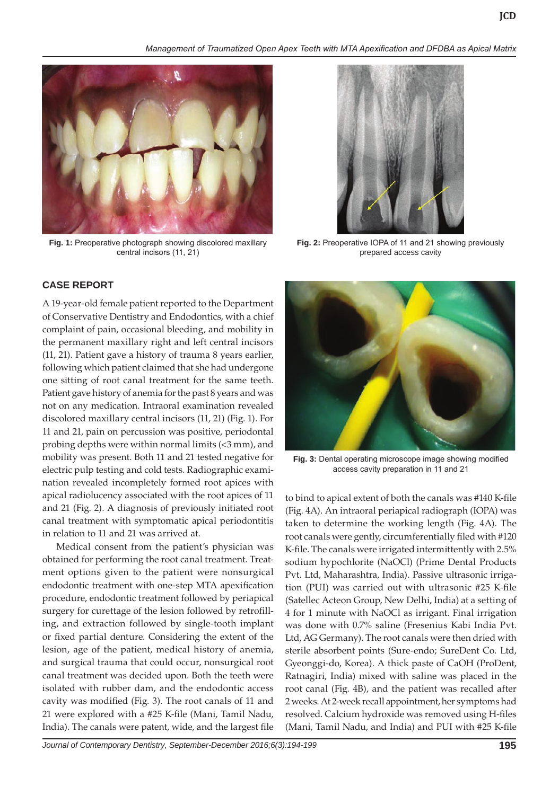*Management of Traumatized Open Apex Teeth with MTA Apexification and DFDBA as Apical Matrix*



**Fig. 1:** Preoperative photograph showing discolored maxillary central incisors (11, 21)

## **CASE REPORT**

A 19-year-old female patient reported to the Department of Conservative Dentistry and Endodontics, with a chief complaint of pain, occasional bleeding, and mobility in the permanent maxillary right and left central incisors (11, 21). Patient gave a history of trauma 8 years earlier, following which patient claimed that she had undergone one sitting of root canal treatment for the same teeth. Patient gave history of anemia for the past 8 years and was not on any medication. Intraoral examination revealed discolored maxillary central incisors (11, 21) (Fig. 1). For 11 and 21, pain on percussion was positive, periodontal probing depths were within normal limits (<3 mm), and mobility was present. Both 11 and 21 tested negative for electric pulp testing and cold tests. Radiographic examination revealed incompletely formed root apices with apical radiolucency associated with the root apices of 11 and 21 (Fig. 2). A diagnosis of previously initiated root canal treatment with symptomatic apical periodontitis in relation to 11 and 21 was arrived at.

Medical consent from the patient's physician was obtained for performing the root canal treatment. Treatment options given to the patient were nonsurgical endodontic treatment with one-step MTA apexification procedure, endodontic treatment followed by periapical surgery for curettage of the lesion followed by retrofilling, and extraction followed by single-tooth implant or fixed partial denture. Considering the extent of the lesion, age of the patient, medical history of anemia, and surgical trauma that could occur, nonsurgical root canal treatment was decided upon. Both the teeth were isolated with rubber dam, and the endodontic access cavity was modified (Fig. 3). The root canals of 11 and 21 were explored with a #25 K-file (Mani, Tamil Nadu, India). The canals were patent, wide, and the largest file



**Fig. 2:** Preoperative IOPA of 11 and 21 showing previously prepared access cavity



**Fig. 3:** Dental operating microscope image showing modified access cavity preparation in 11 and 21

to bind to apical extent of both the canals was #140 K-file (Fig. 4A). An intraoral periapical radiograph (IOPA) was taken to determine the working length (Fig. 4A). The root canals were gently, circumferentially filed with #120 K-file. The canals were irrigated intermittently with 2.5% sodium hypochlorite (NaOCl) (Prime Dental Products Pvt. Ltd, Maharashtra, India). Passive ultrasonic irrigation (PUI) was carried out with ultrasonic #25 K-file (Satellec Acteon Group, New Delhi, India) at a setting of 4 for 1 minute with NaOCl as irrigant. Final irrigation was done with 0.7% saline (Fresenius Kabi India Pvt. Ltd, AG Germany). The root canals were then dried with sterile absorbent points (Sure-endo; SureDent Co. Ltd, Gyeonggi-do, Korea). A thick paste of CaOH (ProDent, Ratnagiri, India) mixed with saline was placed in the root canal (Fig. 4B), and the patient was recalled after 2 weeks. At 2-week recall appointment, her symptoms had resolved. Calcium hydroxide was removed using H-files (Mani, Tamil Nadu, and India) and PUI with #25 K-file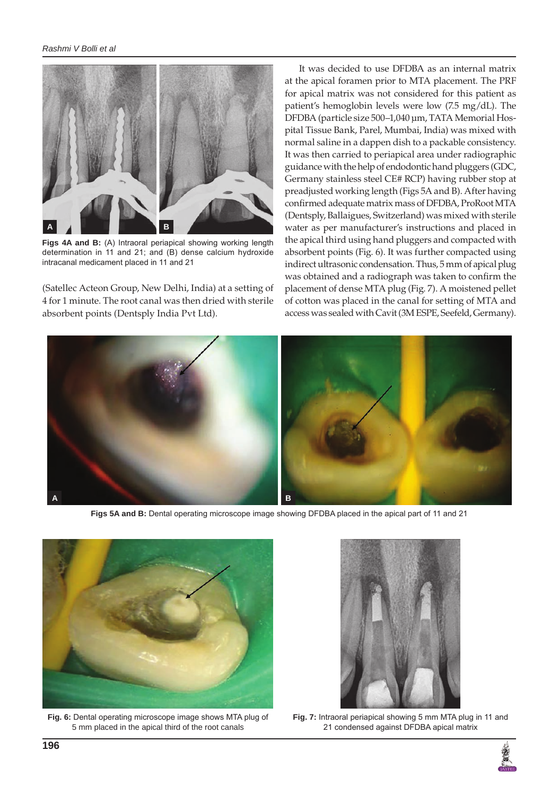

**Figs 4A and B:** (A) Intraoral periapical showing working length determination in 11 and 21; and (B) dense calcium hydroxide intracanal medicament placed in 11 and 21

(Satellec Acteon Group, New Delhi, India) at a setting of 4 for 1 minute. The root canal was then dried with sterile absorbent points (Dentsply India Pvt Ltd).

It was decided to use DFDBA as an internal matrix at the apical foramen prior to MTA placement. The PRF for apical matrix was not considered for this patient as patient's hemoglobin levels were low (7.5 mg/dL). The DFDBA (particle size 500–1,040 μm, TATA Memorial Hospital Tissue Bank, Parel, Mumbai, India) was mixed with normal saline in a dappen dish to a packable consistency. It was then carried to periapical area under radiographic guidance with the help of endodontic hand pluggers (GDC, Germany stainless steel CE# RCP) having rubber stop at preadjusted working length (Figs 5A and B). After having confirmed adequate matrix mass of DFDBA, ProRoot MTA (Dentsply, Ballaigues, Switzerland) was mixed with sterile water as per manufacturer's instructions and placed in the apical third using hand pluggers and compacted with absorbent points (Fig. 6). It was further compacted using indirect ultrasonic condensation. Thus, 5 mm of apical plug was obtained and a radiograph was taken to confirm the placement of dense MTA plug (Fig. 7). A moistened pellet of cotton was placed in the canal for setting of MTA and access was sealed with Cavit (3M ESPE, Seefeld, Germany).



**Figs 5A and B:** Dental operating microscope image showing DFDBA placed in the apical part of 11 and 21



**Fig. 6:** Dental operating microscope image shows MTA plug of 5 mm placed in the apical third of the root canals



**Fig. 7:** Intraoral periapical showing 5 mm MTA plug in 11 and 21 condensed against DFDBA apical matrix

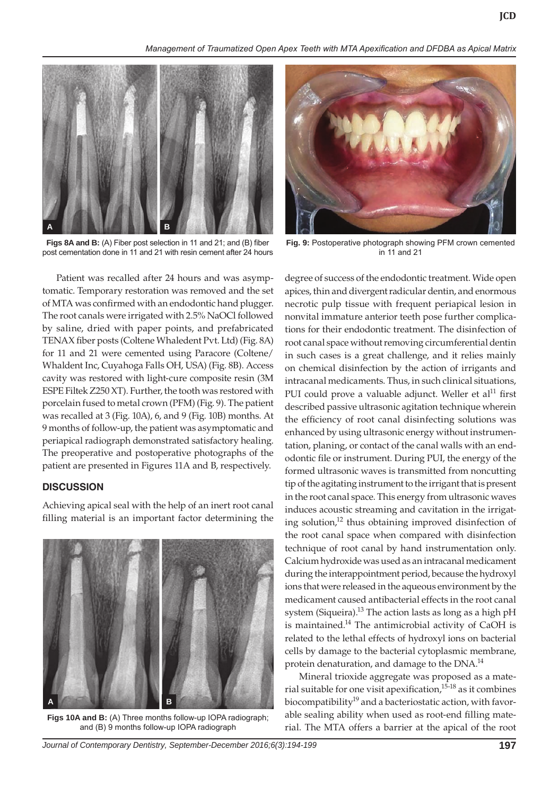*Management of Traumatized Open Apex Teeth with MTA Apexification and DFDBA as Apical Matrix*



**Figs 8A and B:** (A) Fiber post selection in 11 and 21; and (B) fiber post cementation done in 11 and 21 with resin cement after 24 hours

Patient was recalled after 24 hours and was asymptomatic. Temporary restoration was removed and the set of MTA was confirmed with an endodontic hand plugger. The root canals were irrigated with 2.5% NaOCl followed by saline, dried with paper points, and prefabricated TENAX fiber posts (Coltene Whaledent Pvt. Ltd) (Fig. 8A) for 11 and 21 were cemented using Paracore (Coltene/ Whaldent Inc, Cuyahoga Falls OH, USA) (Fig. 8B). Access cavity was restored with light-cure composite resin (3M ESPE Filtek Z250 XT). Further, the tooth was restored with porcelain fused to metal crown (PFM) (Fig. 9). The patient was recalled at 3 (Fig. 10A), 6, and 9 (Fig. 10B) months. At 9 months of follow-up, the patient was asymptomatic and periapical radiograph demonstrated satisfactory healing. The preoperative and postoperative photographs of the patient are presented in Figures 11A and B, respectively.

#### **DISCUSSION**

Achieving apical seal with the help of an inert root canal filling material is an important factor determining the



**Figs 10A and B:** (A) Three months follow-up IOPA radiograph; and (B) 9 months follow-up IOPA radiograph



**Fig. 9:** Postoperative photograph showing PFM crown cemented in 11 and 21

degree of success of the endodontic treatment. Wide open apices, thin and divergent radicular dentin, and enormous necrotic pulp tissue with frequent periapical lesion in nonvital immature anterior teeth pose further complications for their endodontic treatment. The disinfection of root canal space without removing circumferential dentin in such cases is a great challenge, and it relies mainly on chemical disinfection by the action of irrigants and intracanal medicaments. Thus, in such clinical situations, PUI could prove a valuable adjunct. Weller et al<sup>11</sup> first described passive ultrasonic agitation technique wherein the efficiency of root canal disinfecting solutions was enhanced by using ultrasonic energy without instrumentation, planing, or contact of the canal walls with an endodontic file or instrument. During PUI, the energy of the formed ultrasonic waves is transmitted from noncutting tip of the agitating instrument to the irrigant that is present in the root canal space. This energy from ultrasonic waves induces acoustic streaming and cavitation in the irrigating solution,<sup>12</sup> thus obtaining improved disinfection of the root canal space when compared with disinfection technique of root canal by hand instrumentation only. Calcium hydroxide was used as an intracanal medicament during the interappointment period, because the hydroxyl ions that were released in the aqueous environment by the medicament caused antibacterial effects in the root canal system (Siqueira).<sup>13</sup> The action lasts as long as a high pH is maintained.<sup>14</sup> The antimicrobial activity of CaOH is related to the lethal effects of hydroxyl ions on bacterial cells by damage to the bacterial cytoplasmic membrane, protein denaturation, and damage to the DNA.<sup>14</sup>

Mineral trioxide aggregate was proposed as a material suitable for one visit apexification, $15-18$  as it combines biocompatibility<sup>19</sup> and a bacteriostatic action, with favorable sealing ability when used as root-end filling material. The MTA offers a barrier at the apical of the root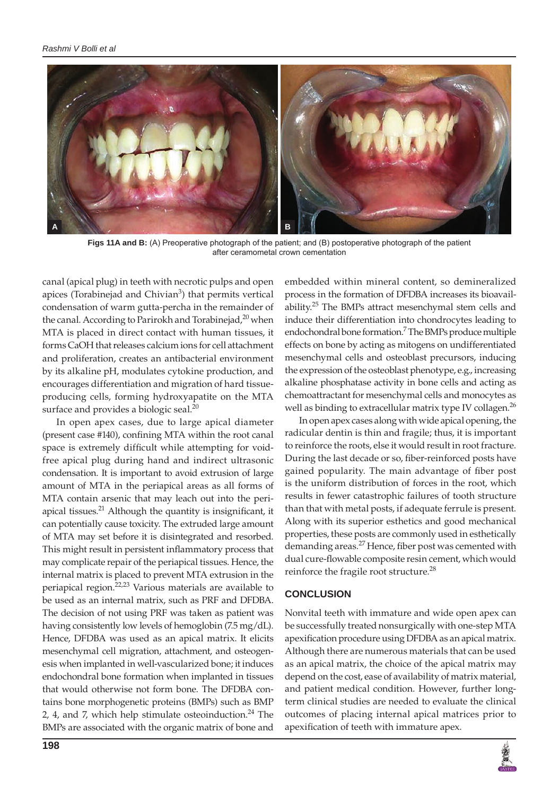

**Figs 11A and B:** (A) Preoperative photograph of the patient; and (B) postoperative photograph of the patient after ceramometal crown cementation

canal (apical plug) in teeth with necrotic pulps and open apices (Torabinejad and Chivian<sup>3</sup>) that permits vertical condensation of warm gutta-percha in the remainder of the canal. According to Parirokh and Torabinejad,<sup>20</sup> when MTA is placed in direct contact with human tissues, it forms CaOH that releases calcium ions for cell attachment and proliferation, creates an antibacterial environment by its alkaline pH, modulates cytokine production, and encourages differentiation and migration of hard tissueproducing cells, forming hydroxyapatite on the MTA surface and provides a biologic seal.<sup>20</sup>

In open apex cases, due to large apical diameter (present case #140), confining MTA within the root canal space is extremely difficult while attempting for voidfree apical plug during hand and indirect ultrasonic condensation. It is important to avoid extrusion of large amount of MTA in the periapical areas as all forms of MTA contain arsenic that may leach out into the periapical tissues.<sup>21</sup> Although the quantity is insignificant, it can potentially cause toxicity. The extruded large amount of MTA may set before it is disintegrated and resorbed. This might result in persistent inflammatory process that may complicate repair of the periapical tissues. Hence, the internal matrix is placed to prevent MTA extrusion in the periapical region.<sup>22,23</sup> Various materials are available to be used as an internal matrix, such as PRF and DFDBA. The decision of not using PRF was taken as patient was having consistently low levels of hemoglobin (7.5 mg/dL). Hence, DFDBA was used as an apical matrix. It elicits mesenchymal cell migration, attachment, and osteogenesis when implanted in well-vascularized bone; it induces endochondral bone formation when implanted in tissues that would otherwise not form bone. The DFDBA contains bone morphogenetic proteins (BMPs) such as BMP 2, 4, and 7, which help stimulate osteoinduction. $^{24}$  The BMPs are associated with the organic matrix of bone and

embedded within mineral content, so demineralized process in the formation of DFDBA increases its bioavailability.<sup>25</sup> The BMPs attract mesenchymal stem cells and induce their differentiation into chondrocytes leading to endochondral bone formation.<sup>7</sup> The BMPs produce multiple effects on bone by acting as mitogens on undifferentiated mesenchymal cells and osteoblast precursors, inducing the expression of the osteoblast phenotype, e.g., increasing alkaline phosphatase activity in bone cells and acting as chemoattractant for mesenchymal cells and monocytes as well as binding to extracellular matrix type IV collagen.<sup>26</sup>

In open apex cases along with wide apical opening, the radicular dentin is thin and fragile; thus, it is important to reinforce the roots, else it would result in root fracture. During the last decade or so, fiber-reinforced posts have gained popularity. The main advantage of fiber post is the uniform distribution of forces in the root, which results in fewer catastrophic failures of tooth structure than that with metal posts, if adequate ferrule is present. Along with its superior esthetics and good mechanical properties, these posts are commonly used in esthetically demanding areas.<sup>27</sup> Hence, fiber post was cemented with dual cure-flowable composite resin cement, which would reinforce the fragile root structure.<sup>28</sup>

#### **CONCLUSION**

Nonvital teeth with immature and wide open apex can be successfully treated nonsurgically with one-step MTA apexification procedure using DFDBA as an apical matrix. Although there are numerous materials that can be used as an apical matrix, the choice of the apical matrix may depend on the cost, ease of availability of matrix material, and patient medical condition. However, further longterm clinical studies are needed to evaluate the clinical outcomes of placing internal apical matrices prior to apexification of teeth with immature apex.